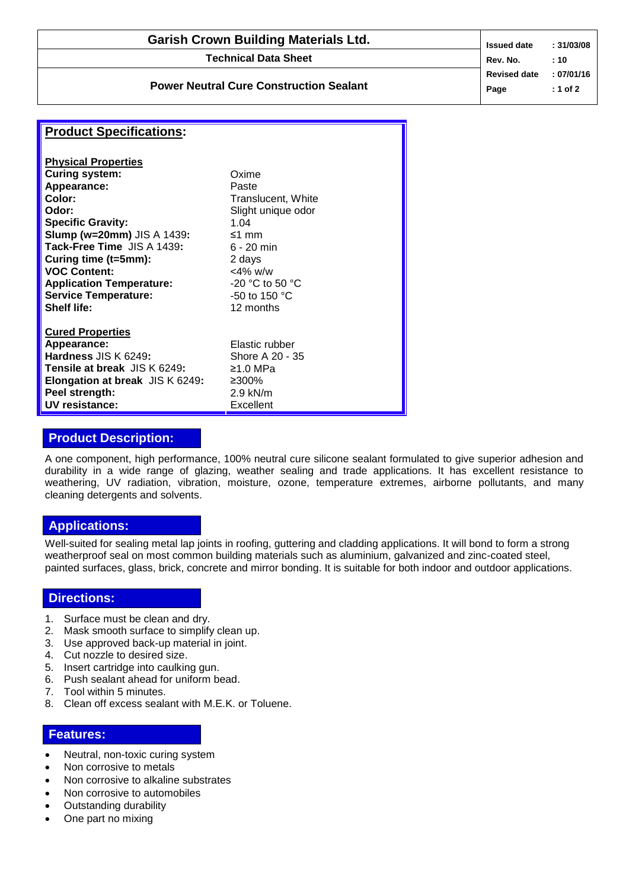| <b>Garish Crown Building Materials Ltd.</b>    | <b>Issued date</b>          | : 31/03/08               |
|------------------------------------------------|-----------------------------|--------------------------|
| <b>Technical Data Sheet</b>                    | Rev. No.                    | : 10                     |
| <b>Power Neutral Cure Construction Sealant</b> | <b>Revised date</b><br>Page | : 07/01/16<br>$: 1$ of 2 |
|                                                |                             |                          |

# **Product Specifications:**

| <b>Physical Properties</b>             |                         |
|----------------------------------------|-------------------------|
| <b>Curing system:</b>                  | Oxime                   |
| Appearance:                            | Paste                   |
| Color:                                 | Translucent, White      |
| Odor:                                  | Slight unique odor      |
| <b>Specific Gravity:</b>               | 1.04                    |
| <b>Slump (w=20mm)</b> JIS A 1439:      | ≤1 mm                   |
| Tack-Free Time JIS A 1439:             | $6 - 20$ min            |
| Curing time (t=5mm):                   | 2 days                  |
| <b>VOC Content:</b>                    | $<$ 4% w/w              |
| <b>Application Temperature:</b>        | $-20$ °C to 50 °C       |
| <b>Service Temperature:</b>            | -50 to 150 $^{\circ}$ C |
| Shelf life:                            | 12 months               |
| <b>Cured Properties</b>                |                         |
| Appearance:                            | Elastic rubber          |
| Hardness JIS K 6249:                   | Shore A 20 - 35         |
| <b>Tensile at break</b> JIS K 6249:    | ≥1.0 MPa                |
| <b>Elongation at break JIS K 6249:</b> | ≥300%                   |
| Peel strength:                         | $2.9$ kN/m              |
| UV resistance:                         | Excellent               |

## **Product Description:**

A one component, high performance, 100% neutral cure silicone sealant formulated to give superior adhesion and durability in a wide range of glazing, weather sealing and trade applications. It has excellent resistance to weathering, UV radiation, vibration, moisture, ozone, temperature extremes, airborne pollutants, and many cleaning detergents and solvents.

### **Applications:**

Well-suited for sealing metal lap joints in roofing, guttering and cladding applications. It will bond to form a strong weatherproof seal on most common building materials such as aluminium, galvanized and zinc-coated steel, painted surfaces, glass, brick, concrete and mirror bonding. It is suitable for both indoor and outdoor applications.

#### **Directions:**

- 1. Surface must be clean and dry.
- 2. Mask smooth surface to simplify clean up.
- 3. Use approved back-up material in joint.
- 4. Cut nozzle to desired size.
- 5. Insert cartridge into caulking gun.
- 6. Push sealant ahead for uniform bead.
- 7. Tool within 5 minutes.
- 8. Clean off excess sealant with M.E.K. or Toluene.

#### **Features:**

- Neutral, non-toxic curing system
- Non corrosive to metals
- Non corrosive to alkaline substrates
- Non corrosive to automobiles
- Outstanding durability
- One part no mixing